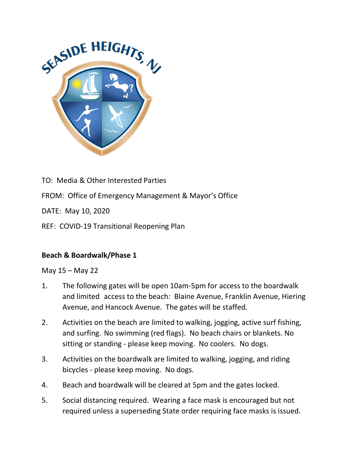

TO: Media & Other Interested Parties

FROM: Office of Emergency Management & Mayor's Office

DATE: May 10, 2020

REF: COVID-19 Transitional Reopening Plan

### **Beach & Boardwalk/Phase 1**

#### May 15 – May 22

- 1. The following gates will be open 10am-5pm for access to the boardwalk and limited access to the beach: Blaine Avenue, Franklin Avenue, Hiering Avenue, and Hancock Avenue. The gates will be staffed.
- 2. Activities on the beach are limited to walking, jogging, active surf fishing, and surfing. No swimming (red flags). No beach chairs or blankets. No sitting or standing - please keep moving. No coolers. No dogs.
- 3. Activities on the boardwalk are limited to walking, jogging, and riding bicycles - please keep moving. No dogs.
- 4. Beach and boardwalk will be cleared at 5pm and the gates locked.
- 5. Social distancing required. Wearing a face mask is encouraged but not required unless a superseding State order requiring face masks is issued.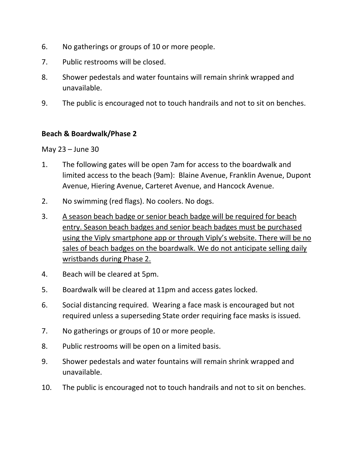- 6. No gatherings or groups of 10 or more people.
- 7. Public restrooms will be closed.
- 8. Shower pedestals and water fountains will remain shrink wrapped and unavailable.
- 9. The public is encouraged not to touch handrails and not to sit on benches.

### **Beach & Boardwalk/Phase 2**

May 23 – June 30

- 1. The following gates will be open 7am for access to the boardwalk and limited access to the beach (9am): Blaine Avenue, Franklin Avenue, Dupont Avenue, Hiering Avenue, Carteret Avenue, and Hancock Avenue.
- 2. No swimming (red flags). No coolers. No dogs.
- 3. A season beach badge or senior beach badge will be required for beach entry. Season beach badges and senior beach badges must be purchased using the Viply smartphone app or through Viply's website. There will be no sales of beach badges on the boardwalk. We do not anticipate selling daily wristbands during Phase 2.
- 4. Beach will be cleared at 5pm.
- 5. Boardwalk will be cleared at 11pm and access gates locked.
- 6. Social distancing required. Wearing a face mask is encouraged but not required unless a superseding State order requiring face masks is issued.
- 7. No gatherings or groups of 10 or more people.
- 8. Public restrooms will be open on a limited basis.
- 9. Shower pedestals and water fountains will remain shrink wrapped and unavailable.
- 10. The public is encouraged not to touch handrails and not to sit on benches.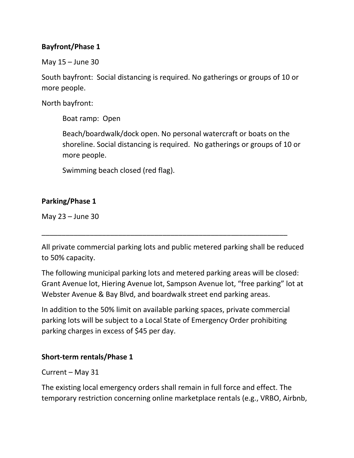# **Bayfront/Phase 1**

May 15 – June 30

South bayfront: Social distancing is required. No gatherings or groups of 10 or more people.

North bayfront:

Boat ramp: Open

Beach/boardwalk/dock open. No personal watercraft or boats on the shoreline. Social distancing is required. No gatherings or groups of 10 or more people.

Swimming beach closed (red flag).

## **Parking/Phase 1**

May 23 – June 30

All private commercial parking lots and public metered parking shall be reduced to 50% capacity.

\_\_\_\_\_\_\_\_\_\_\_\_\_\_\_\_\_\_\_\_\_\_\_\_\_\_\_\_\_\_\_\_\_\_\_\_\_\_\_\_\_\_\_\_\_\_\_\_\_\_\_\_\_\_\_\_\_\_\_\_\_

The following municipal parking lots and metered parking areas will be closed: Grant Avenue lot, Hiering Avenue lot, Sampson Avenue lot, "free parking" lot at Webster Avenue & Bay Blvd, and boardwalk street end parking areas.

In addition to the 50% limit on available parking spaces, private commercial parking lots will be subject to a Local State of Emergency Order prohibiting parking charges in excess of \$45 per day.

### **Short-term rentals/Phase 1**

Current – May 31

The existing local emergency orders shall remain in full force and effect. The temporary restriction concerning online marketplace rentals (e.g., VRBO, Airbnb,